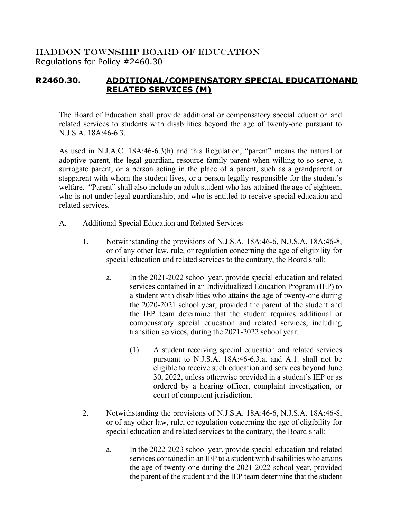## HADDON TOWNSHIP BOARD OF EDUCATION Regulations for Policy #2460.30

## **R2460.30. ADDITIONAL/COMPENSATORY SPECIAL EDUCATIONAND RELATED SERVICES (M)**

The Board of Education shall provide additional or compensatory special education and related services to students with disabilities beyond the age of twenty-one pursuant to N.J.S.A. 18A:46-6.3.

As used in N.J.A.C. 18A:46-6.3(h) and this Regulation, "parent" means the natural or adoptive parent, the legal guardian, resource family parent when willing to so serve, a surrogate parent, or a person acting in the place of a parent, such as a grandparent or stepparent with whom the student lives, or a person legally responsible for the student's welfare. "Parent" shall also include an adult student who has attained the age of eighteen, who is not under legal guardianship, and who is entitled to receive special education and related services.

- A. Additional Special Education and Related Services
	- 1. Notwithstanding the provisions of N.J.S.A. 18A:46-6, N.J.S.A. 18A:46-8, or of any other law, rule, or regulation concerning the age of eligibility for special education and related services to the contrary, the Board shall:
		- a. In the 2021-2022 school year, provide special education and related services contained in an Individualized Education Program (IEP) to a student with disabilities who attains the age of twenty-one during the 2020-2021 school year, provided the parent of the student and the IEP team determine that the student requires additional or compensatory special education and related services, including transition services, during the 2021-2022 school year.
			- (1) A student receiving special education and related services pursuant to N.J.S.A. 18A:46-6.3.a. and A.1. shall not be eligible to receive such education and services beyond June 30, 2022, unless otherwise provided in a student's IEP or as ordered by a hearing officer, complaint investigation, or court of competent jurisdiction.
	- 2. Notwithstanding the provisions of N.J.S.A. 18A:46-6, N.J.S.A. 18A:46-8, or of any other law, rule, or regulation concerning the age of eligibility for special education and related services to the contrary, the Board shall:
		- a. In the 2022-2023 school year, provide special education and related services contained in an IEP to a student with disabilities who attains the age of twenty-one during the 2021-2022 school year, provided the parent of the student and the IEP team determine that the student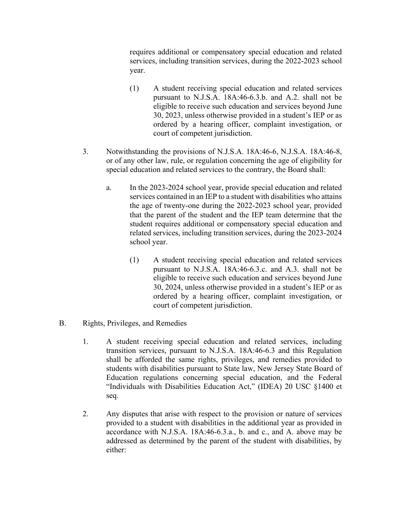requires additional or compensatory special education and related services, including transition services, during the 2022-2023 school year.

- (1) A student receiving special education and related services pursuant to N.J.S.A. 18A:46-6.3.b. and A.2. shall not be eligible to receive such education and services beyond June 30, 2023, unless otherwise provided in a student's IEP or as ordered by a hearing officer, complaint investigation, or court of competent jurisdiction.
- 3. Notwithstanding the provisions of N.J.S.A. 18A:46-6, N.J.S.A. 18A:46-8, or of any other law, rule, or regulation concerning the age of eligibility for special education and related services to the contrary, the Board shall:
	- a. In the 2023-2024 school year, provide special education and related services contained in an IEP to a student with disabilities who attains the age of twenty-one during the 2022-2023 school year, provided that the parent of the student and the IEP team determine that the student requires additional or compensatory special education and related services, including transition services, during the 2023-2024 school year.
		- (1) A student receiving special education and related services pursuant to N.J.S.A. 18A:46-6.3.c. and A.3. shall not be eligible to receive such education and services beyond June 30, 2024, unless otherwise provided in a student's IEP or as ordered by a hearing officer, complaint investigation, or court of competent jurisdiction.
- B. Rights, Privileges, and Remedies
	- 1. A student receiving special education and related services, including transition services, pursuant to N.J.S.A. 18A:46-6.3 and this Regulation shall be afforded the same rights, privileges, and remedies provided to students with disabilities pursuant to State law, New Jersey State Board of Education regulations concerning special education, and the Federal "Individuals with Disabilities Education Act," (IDEA) 20 USC §1400 et seq.
	- 2. Any disputes that arise with respect to the provision or nature of services provided to a student with disabilities in the additional year as provided in accordance with N.J.S.A. 18A:46-6.3.a., b. and c., and A. above may be addressed as determined by the parent of the student with disabilities, by either: